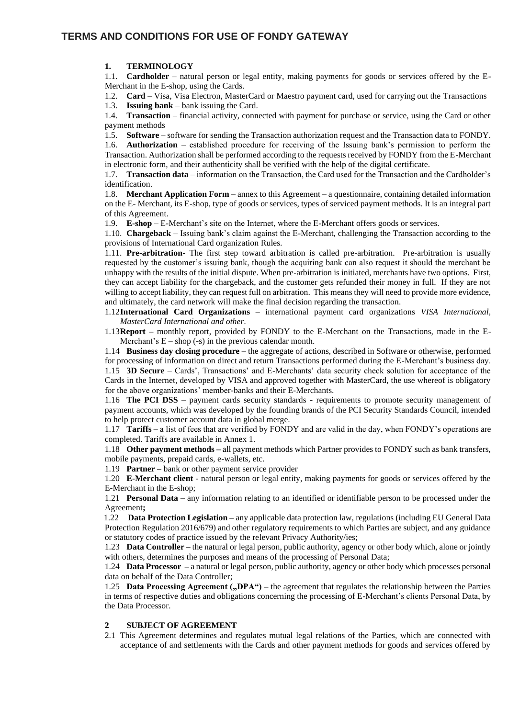## **TERMS AND CONDITIONS FOR USE OF FONDY GATEWAY**

### **1. TERMINOLOGY**

1.1. **Cardholder** – natural person or legal entity, making payments for goods or services offered by the E-Merchant in the E-shop, using the Cards.

1.2. **Card** – Visa, Visa Electron, MasterCard or Maestro payment card, used for carrying out the Transactions

1.3. **Issuing bank** – bank issuing the Card.

1.4. **Transaction** – financial activity, connected with payment for purchase or service, using the Card or other payment methods

1.5. **Software** – software for sending the Transaction authorization request and the Transaction data to FONDY.

1.6. **Authorization** – established procedure for receiving of the Issuing bank's permission to perform the Transaction. Authorization shall be performed according to the requests received by FONDY from the E-Merchant in electronic form, and their authenticity shall be verified with the help of the digital certificate.

1.7. **Transaction data** – information on the Transaction, the Card used for the Transaction and the Cardholder's identification.

1.8. **Merchant Application Form** – annex to this Agreement – a questionnaire, containing detailed information on the E- Merchant, its E-shop, type of goods or services, types of serviced payment methods. It is an integral part of this Agreement.

1.9. **E-shop** – E-Merchant's site on the Internet, where the E-Merchant offers goods or services.

1.10. **Chargeback** – Issuing bank's claim against the E-Merchant, challenging the Transaction according to the provisions of International Card organization Rules.

1.11. **Pre-arbitration-** The first step toward arbitration is called pre-arbitration. Pre-arbitration is usually requested by the customer's issuing bank, though the acquiring bank can also request it should the merchant be unhappy with the results of the initial dispute. When pre-arbitration is initiated, merchants have two options. First, they can accept liability for the chargeback, and the customer gets refunded their money in full. If they are not willing to accept liability, they can request full on arbitration. This means they will need to provide more evidence, and ultimately, the card network will make the final decision regarding the transaction.

1.12**International Card Organizations** – international payment card organizations *VISA International, MasterCard International and other.*

1.13**Report –** monthly report, provided by FONDY to the E-Merchant on the Transactions, made in the E-Merchant's  $E -$ shop  $(-s)$  in the previous calendar month.

1.14 **Business day closing procedure** – the aggregate of actions, described in Software or otherwise, performed for processing of information on direct and return Transactions performed during the E-Merchant's business day. 1.15 **3D Secure** – Cards', Transactions' and E-Merchants' data security check solution for acceptance of the Cards in the Internet, developed by VISA and approved together with MasterCard, the use whereof is obligatory for the above organizations' member-banks and their E-Merchants.

1.16 **The PCI DSS** – payment cards security standards - requirements to promote security management of payment accounts, which was developed by the founding brands of the PCI Security Standards Council, intended to help protect customer account data in global merge.

1.17 **Tariffs** – a list of fees that are verified by FONDY and are valid in the day, when FONDY's operations are completed. Tariffs are available in Annex 1.

1.18 **Other payment methods –** all payment methods which Partner provides to FONDY such as bank transfers, mobile payments, prepaid cards, e-wallets, etc.

1.19 **Partner –** bank or other payment service provider

1.20 **E-Merchant client** - natural person or legal entity, making payments for goods or services offered by the E-Merchant in the E-shop;

1.21 **Personal Data –** any information relating to an identified or identifiable person to be processed under the Agreement**;**

1.22 **Data Protection Legislation –** any applicable data protection law, regulations (including EU General Data Protection Regulation 2016/679) and other regulatory requirements to which Parties are subject, and any guidance or statutory codes of practice issued by the relevant Privacy Authority/ies;

1.23 **Data Controller –** the natural or legal person, public authority, agency or other body which, alone or jointly with others, determines the purposes and means of the processing of Personal Data;

1.24 **Data Processor –** a natural or legal person, public authority, agency or other body which processes personal data on behalf of the Data Controller;

1.25 **Data Processing Agreement ("DPA")** – the agreement that regulates the relationship between the Parties in terms of respective duties and obligations concerning the processing of E-Merchant's clients Personal Data, by the Data Processor.

## **2 SUBJECT OF AGREEMENT**

2.1 This Agreement determines and regulates mutual legal relations of the Parties, which are connected with acceptance of and settlements with the Cards and other payment methods for goods and services offered by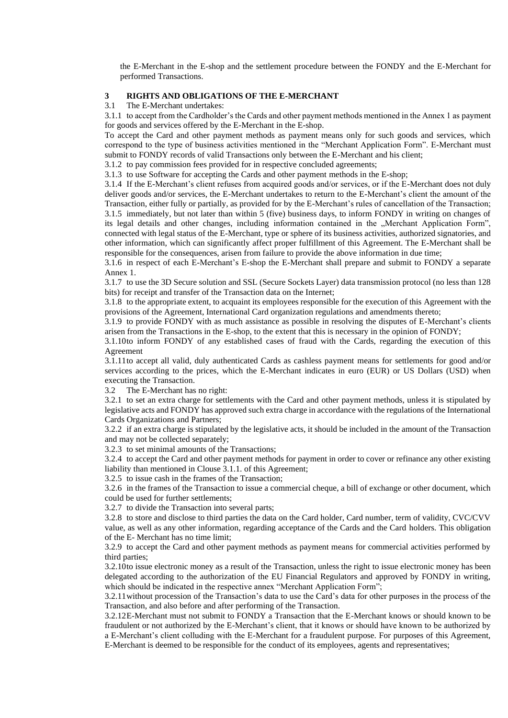the E-Merchant in the E-shop and the settlement procedure between the FONDY and the E-Merchant for performed Transactions.

#### **3 RIGHTS AND OBLIGATIONS OF THE E-MERCHANT**

#### 3.1 The E-Merchant undertakes:

3.1.1 to accept from the Cardholder's the Cards and other payment methods mentioned in the Annex 1 as payment for goods and services offered by the E-Merchant in the E-shop.

To accept the Card and other payment methods as payment means only for such goods and services, which correspond to the type of business activities mentioned in the "Merchant Application Form". E-Merchant must submit to FONDY records of valid Transactions only between the E-Merchant and his client;

3.1.2 to pay commission fees provided for in respective concluded agreements;

3.1.3 to use Software for accepting the Cards and other payment methods in the E-shop;

3.1.4 If the E-Merchant's client refuses from acquired goods and/or services, or if the E-Merchant does not duly deliver goods and/or services, the E-Merchant undertakes to return to the E-Merchant's client the amount of the Transaction, either fully or partially, as provided for by the E-Merchant's rules of cancellation of the Transaction; 3.1.5 immediately, but not later than within 5 (five) business days, to inform FONDY in writing on changes of its legal details and other changes, including information contained in the "Merchant Application Form", connected with legal status of the E-Merchant, type or sphere of its business activities, authorized signatories, and other information, which can significantly affect proper fulfillment of this Agreement. The E-Merchant shall be responsible for the consequences, arisen from failure to provide the above information in due time;

3.1.6 in respect of each E-Merchant's E-shop the E-Merchant shall prepare and submit to FONDY a separate Annex 1.

3.1.7 to use the 3D Secure solution and SSL (Secure Sockets Layer) data transmission protocol (no less than 128 bits) for receipt and transfer of the Transaction data on the Internet;

3.1.8 to the appropriate extent, to acquaint its employees responsible for the execution of this Agreement with the provisions of the Agreement, International Card organization regulations and amendments thereto;

3.1.9 to provide FONDY with as much assistance as possible in resolving the disputes of E-Merchant's clients arisen from the Transactions in the E-shop, to the extent that this is necessary in the opinion of FONDY;

3.1.10to inform FONDY of any established cases of fraud with the Cards, regarding the execution of this Agreement

3.1.11to accept all valid, duly authenticated Cards as cashless payment means for settlements for good and/or services according to the prices, which the E-Merchant indicates in euro (EUR) or US Dollars (USD) when executing the Transaction.

3.2 The E-Merchant has no right:

3.2.1 to set an extra charge for settlements with the Card and other payment methods, unless it is stipulated by legislative acts and FONDY has approved such extra charge in accordance with the regulations of the International Cards Organizations and Partners;

3.2.2 if an extra charge is stipulated by the legislative acts, it should be included in the amount of the Transaction and may not be collected separately;

3.2.3 to set minimal amounts of the Transactions;

3.2.4 to accept the Card and other payment methods for payment in order to cover or refinance any other existing liability than mentioned in Clouse 3.1.1. of this Agreement;

3.2.5 to issue cash in the frames of the Transaction;

3.2.6 in the frames of the Transaction to issue a commercial cheque, a bill of exchange or other document, which could be used for further settlements;

3.2.7 to divide the Transaction into several parts;

3.2.8 to store and disclose to third parties the data on the Card holder, Card number, term of validity, CVC/CVV value, as well as any other information, regarding acceptance of the Cards and the Card holders. This obligation of the E- Merchant has no time limit;

3.2.9 to accept the Card and other payment methods as payment means for commercial activities performed by third parties;

3.2.10to issue electronic money as a result of the Transaction, unless the right to issue electronic money has been delegated according to the authorization of the EU Financial Regulators and approved by FONDY in writing, which should be indicated in the respective annex "Merchant Application Form";

3.2.11without procession of the Transaction's data to use the Card's data for other purposes in the process of the Transaction, and also before and after performing of the Transaction.

3.2.12E-Merchant must not submit to FONDY a Transaction that the E-Merchant knows or should known to be fraudulent or not authorized by the E-Merchant's client, that it knows or should have known to be authorized by a E-Merchant's client colluding with the E-Merchant for a fraudulent purpose. For purposes of this Agreement, E-Merchant is deemed to be responsible for the conduct of its employees, agents and representatives;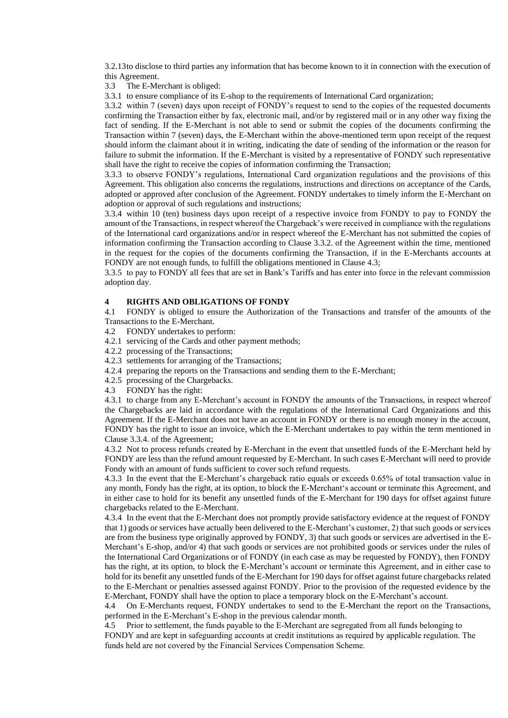3.2.13to disclose to third parties any information that has become known to it in connection with the execution of this Agreement.

3.3 The E-Merchant is obliged:

3.3.1 to ensure compliance of its E-shop to the requirements of International Card organization;

3.3.2 within 7 (seven) days upon receipt of FONDY's request to send to the copies of the requested documents confirming the Transaction either by fax, electronic mail, and/or by registered mail or in any other way fixing the fact of sending. If the E-Merchant is not able to send or submit the copies of the documents confirming the Transaction within 7 (seven) days, the E-Merchant within the above-mentioned term upon receipt of the request should inform the claimant about it in writing, indicating the date of sending of the information or the reason for failure to submit the information. If the E-Merchant is visited by a representative of FONDY such representative shall have the right to receive the copies of information confirming the Transaction;

3.3.3 to observe FONDY's regulations, International Card organization regulations and the provisions of this Agreement. This obligation also concerns the regulations, instructions and directions on acceptance of the Cards, adopted or approved after conclusion of the Agreement. FONDY undertakes to timely inform the E-Merchant on adoption or approval of such regulations and instructions;

3.3.4 within 10 (ten) business days upon receipt of a respective invoice from FONDY to pay to FONDY the amount of the Transactions, in respect whereof the Chargeback's were received in compliance with the regulations of the International card organizations and/or in respect whereof the E-Merchant has not submitted the copies of information confirming the Transaction according to Clause 3.3.2. of the Agreement within the time, mentioned in the request for the copies of the documents confirming the Transaction, if in the E-Merchants accounts at FONDY are not enough funds, to fulfill the obligations mentioned in Clause 4.3;

3.3.5 to pay to FONDY all fees that are set in Bank's Tariffs and has enter into force in the relevant commission adoption day.

#### **4 RIGHTS AND OBLIGATIONS OF FONDY**

4.1 FONDY is obliged to ensure the Authorization of the Transactions and transfer of the amounts of the Transactions to the E-Merchant.

- 4.2 FONDY undertakes to perform:
- 4.2.1 servicing of the Cards and other payment methods;
- 4.2.2 processing of the Transactions;
- 4.2.3 settlements for arranging of the Transactions;
- 4.2.4 preparing the reports on the Transactions and sending them to the E-Merchant;
- 4.2.5 processing of the Chargebacks.
- 4.3 FONDY has the right:

4.3.1 to charge from any E-Merchant's account in FONDY the amounts of the Transactions, in respect whereof the Chargebacks are laid in accordance with the regulations of the International Card Organizations and this Agreement. If the E-Merchant does not have an account in FONDY or there is no enough money in the account, FONDY has the right to issue an invoice, which the E-Merchant undertakes to pay within the term mentioned in Clause 3.3.4. of the Agreement;

4.3.2 Not to process refunds created by E-Merchant in the event that unsettled funds of the E-Merchant held by FONDY are less than the refund amount requested by E-Merchant. In such cases E-Merchant will need to provide Fondy with an amount of funds sufficient to cover such refund requests.

4.3.3 In the event that the E-Merchant's chargeback ratio equals or exceeds 0.65% of total transaction value in any month, Fondy has the right, at its option, to block the E-Merchant's account or terminate this Agreement, and in either case to hold for its benefit any unsettled funds of the E-Merchant for 190 days for offset against future chargebacks related to the E-Merchant.

4.3.4 In the event that the E-Merchant does not promptly provide satisfactory evidence at the request of FONDY that 1) goods or services have actually been delivered to the E-Merchant's customer, 2) that such goods or services are from the business type originally approved by FONDY, 3) that such goods or services are advertised in the E-Merchant's E-shop, and/or 4) that such goods or services are not prohibited goods or services under the rules of the International Card Organizations or of FONDY (in each case as may be requested by FONDY), then FONDY has the right, at its option, to block the E-Merchant's account or terminate this Agreement, and in either case to hold for its benefit any unsettled funds of the E-Merchant for 190 days for offset against future chargebacks related to the E-Merchant or penalties assessed against FONDY. Prior to the provision of the requested evidence by the E-Merchant, FONDY shall have the option to place a temporary block on the E-Merchant's account.

4.4 On E-Merchants request, FONDY undertakes to send to the E-Merchant the report on the Transactions, performed in the E-Merchant's E-shop in the previous calendar month.

4.5 Prior to settlement, the funds payable to the E-Merchant are segregated from all funds belonging to FONDY and are kept in safeguarding accounts at credit institutions as required by applicable regulation. The funds held are not covered by the Financial Services Compensation Scheme.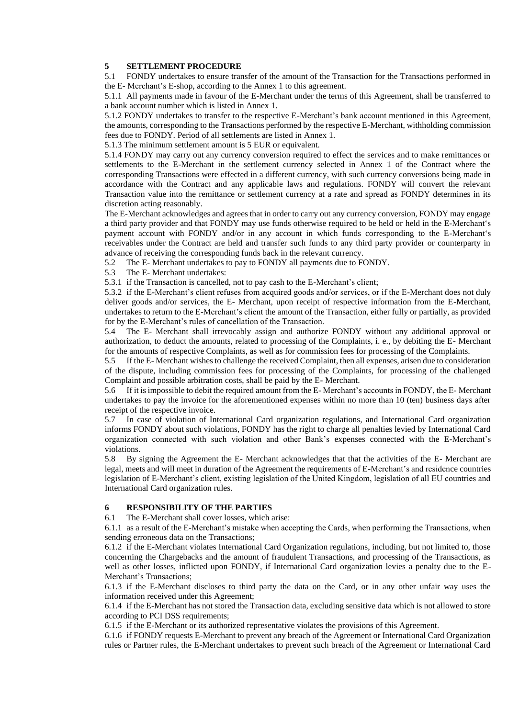## **5 SETTLEMENT PROCEDURE**

5.1 FONDY undertakes to ensure transfer of the amount of the Transaction for the Transactions performed in the E- Merchant's E-shop, according to the Annex 1 to this agreement.

5.1.1 All payments made in favour of the E-Merchant under the terms of this Agreement, shall be transferred to a bank account number which is listed in Annex 1.

5.1.2 FONDY undertakes to transfer to the respective E-Merchant's bank account mentioned in this Agreement, the amounts, corresponding to the Transactions performed by the respective E-Merchant, withholding commission fees due to FONDY. Period of all settlements are listed in Annex 1.

5.1.3 The minimum settlement amount is 5 EUR or equivalent.

5.1.4 FONDY may carry out any currency conversion required to effect the services and to make remittances or settlements to the E-Merchant in the settlement currency selected in Annex 1 of the Contract where the corresponding Transactions were effected in a different currency, with such currency conversions being made in accordance with the Contract and any applicable laws and regulations. FONDY will convert the relevant Transaction value into the remittance or settlement currency at a rate and spread as FONDY determines in its discretion acting reasonably.

The E-Merchant acknowledges and agrees that in order to carry out any currency conversion, FONDY may engage a third party provider and that FONDY may use funds otherwise required to be held or held in the E-Merchant's payment account with FONDY and/or in any account in which funds corresponding to the E-Merchant's receivables under the Contract are held and transfer such funds to any third party provider or counterparty in advance of receiving the corresponding funds back in the relevant currency.

5.2 The E- Merchant undertakes to pay to FONDY all payments due to FONDY.

5.3 The E- Merchant undertakes:

5.3.1 if the Transaction is cancelled, not to pay cash to the E-Merchant's client;

5.3.2 if the E-Merchant's client refuses from acquired goods and/or services, or if the E-Merchant does not duly deliver goods and/or services, the E- Merchant, upon receipt of respective information from the E-Merchant, undertakes to return to the E-Merchant's client the amount of the Transaction, either fully or partially, as provided for by the E-Merchant's rules of cancellation of the Transaction.

5.4 The E- Merchant shall irrevocably assign and authorize FONDY without any additional approval or authorization, to deduct the amounts, related to processing of the Complaints, i. e., by debiting the E- Merchant for the amounts of respective Complaints, as well as for commission fees for processing of the Complaints.

5.5 If the E- Merchant wishes to challenge the received Complaint, then all expenses, arisen due to consideration of the dispute, including commission fees for processing of the Complaints, for processing of the challenged Complaint and possible arbitration costs, shall be paid by the E- Merchant.

5.6 If it is impossible to debit the required amount from the E- Merchant's accounts in FONDY, the E- Merchant undertakes to pay the invoice for the aforementioned expenses within no more than 10 (ten) business days after receipt of the respective invoice.

5.7 In case of violation of International Card organization regulations, and International Card organization informs FONDY about such violations, FONDY has the right to charge all penalties levied by International Card organization connected with such violation and other Bank's expenses connected with the E-Merchant's violations.

5.8 By signing the Agreement the E- Merchant acknowledges that that the activities of the E- Merchant are legal, meets and will meet in duration of the Agreement the requirements of E-Merchant's and residence countries legislation of E-Merchant's client, existing legislation of the United Kingdom, legislation of all EU countries and International Card organization rules.

## **6 RESPONSIBILITY OF THE PARTIES**

6.1 The E-Merchant shall cover losses, which arise:

6.1.1 as a result of the E-Merchant's mistake when accepting the Cards, when performing the Transactions, when sending erroneous data on the Transactions;

6.1.2 if the E-Merchant violates International Card Organization regulations, including, but not limited to, those concerning the Chargebacks and the amount of fraudulent Transactions, and processing of the Transactions, as well as other losses, inflicted upon FONDY, if International Card organization levies a penalty due to the E-Merchant's Transactions;

6.1.3 if the E-Merchant discloses to third party the data on the Card, or in any other unfair way uses the information received under this Agreement;

6.1.4 if the E-Merchant has not stored the Transaction data, excluding sensitive data which is not allowed to store according to PCI DSS requirements;

6.1.5 if the E-Merchant or its authorized representative violates the provisions of this Agreement.

6.1.6 if FONDY requests E-Merchant to prevent any breach of the Agreement or International Card Organization rules or Partner rules, the E-Merchant undertakes to prevent such breach of the Agreement or International Card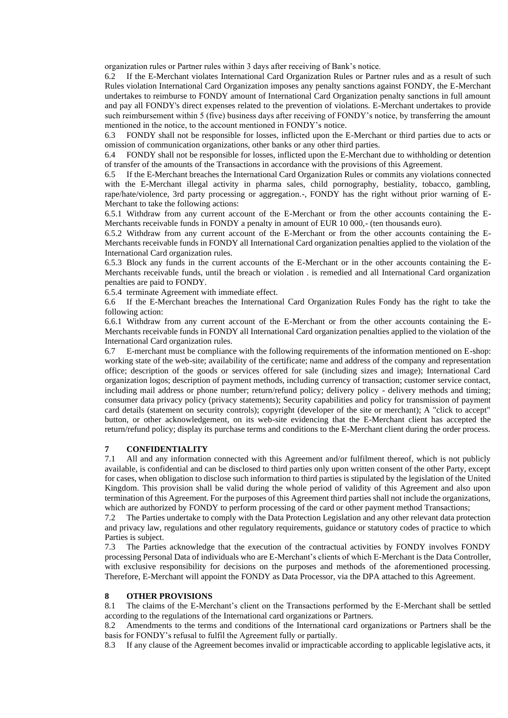organization rules or Partner rules within 3 days after receiving of Bank's notice.

6.2 If the E-Merchant violates International Card Organization Rules or Partner rules and as a result of such Rules violation International Card Organization imposes any penalty sanctions against FONDY, the E-Merchant undertakes to reimburse to FONDY amount of International Card Organization penalty sanctions in full amount and pay all FONDY's direct expenses related to the prevention of violations. E-Merchant undertakes to provide such reimbursement within 5 (five) business days after receiving of FONDY's notice, by transferring the amount mentioned in the notice, to the account mentioned in FONDY's notice.

6.3 FONDY shall not be responsible for losses, inflicted upon the E-Merchant or third parties due to acts or omission of communication organizations, other banks or any other third parties.

6.4 FONDY shall not be responsible for losses, inflicted upon the E-Merchant due to withholding or detention of transfer of the amounts of the Transactions in accordance with the provisions of this Agreement.

6.5 If the E-Merchant breaches the International Card Organization Rules or commits any violations connected with the E-Merchant illegal activity in pharma sales, child pornography, bestiality, tobacco, gambling, rape/hate/violence, 3rd party processing or aggregation.-, FONDY has the right without prior warning of E-Merchant to take the following actions:

6.5.1 Withdraw from any current account of the E-Merchant or from the other accounts containing the E-Merchants receivable funds in FONDY a penalty in amount of EUR 10 000,- (ten thousands euro).

6.5.2 Withdraw from any current account of the E-Merchant or from the other accounts containing the E-Merchants receivable funds in FONDY all International Card organization penalties applied to the violation of the International Card organization rules.

6.5.3 Block any funds in the current accounts of the E-Merchant or in the other accounts containing the E-Merchants receivable funds, until the breach or violation . is remedied and all International Card organization penalties are paid to FONDY.

6.5.4 terminate Agreement with immediate effect.

6.6 If the E-Merchant breaches the International Card Organization Rules Fondy has the right to take the following action:

6.6.1 Withdraw from any current account of the E-Merchant or from the other accounts containing the E-Merchants receivable funds in FONDY all International Card organization penalties applied to the violation of the International Card organization rules.

6.7 E-merchant must be compliance with the following requirements of the information mentioned on E-shop: working state of the web-site; availability of the certificate; name and address of the company and representation office; description of the goods or services offered for sale (including sizes and image); International Card organization logos; description of payment methods, including currency of transaction; customer service contact, including mail address or phone number; return/refund policy; delivery policy - delivery methods and timing; consumer data privacy policy (privacy statements); Security capabilities and policy for transmission of payment card details (statement on security controls); copyright (developer of the site or merchant); A "click to accept" button, or other acknowledgement, on its web-site evidencing that the E-Merchant client has accepted the return/refund policy; display its purchase terms and conditions to the E-Merchant client during the order process.

#### **7 CONFIDENTIALITY**

7.1 All and any information connected with this Agreement and/or fulfilment thereof, which is not publicly available, is confidential and can be disclosed to third parties only upon written consent of the other Party, except for cases, when obligation to disclose such information to third parties is stipulated by the legislation of the United Kingdom. This provision shall be valid during the whole period of validity of this Agreement and also upon termination of this Agreement. For the purposes of this Agreement third parties shall not include the organizations, which are authorized by FONDY to perform processing of the card or other payment method Transactions;

7.2 The Parties undertake to comply with the Data Protection Legislation and any other relevant data protection and privacy law, regulations and other regulatory requirements, guidance or statutory codes of practice to which Parties is subject.

7.3 The Parties acknowledge that the execution of the contractual activities by FONDY involves FONDY processing Personal Data of individuals who are E-Merchant's clients of which E-Merchant is the Data Controller, with exclusive responsibility for decisions on the purposes and methods of the aforementioned processing. Therefore, E-Merchant will appoint the FONDY as Data Processor, via the DPA attached to this Agreement.

## **8 OTHER PROVISIONS**

8.1 The claims of the E-Merchant's client on the Transactions performed by the E-Merchant shall be settled according to the regulations of the International card organizations or Partners.

8.2 Amendments to the terms and conditions of the International card organizations or Partners shall be the basis for FONDY's refusal to fulfil the Agreement fully or partially.

8.3 If any clause of the Agreement becomes invalid or impracticable according to applicable legislative acts, it